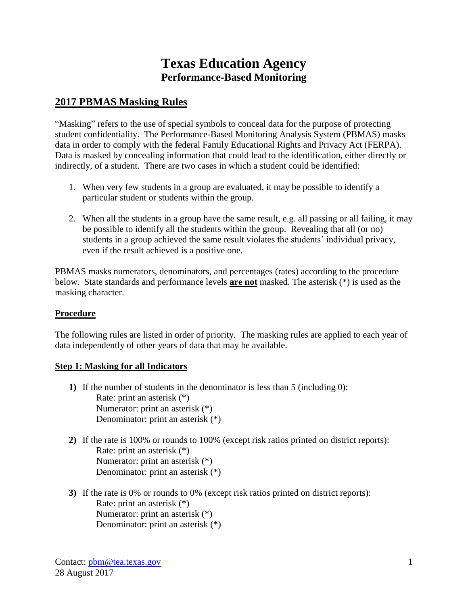# **Texas Education Agency Performance-Based Monitoring**

## **2017 PBMAS Masking Rules**

"Masking" refers to the use of special symbols to conceal data for the purpose of protecting student confidentiality. The Performance-Based Monitoring Analysis System (PBMAS) masks data in order to comply with the federal Family Educational Rights and Privacy Act (FERPA). Data is masked by concealing information that could lead to the identification, either directly or indirectly, of a student. There are two cases in which a student could be identified:

- 1. When very few students in a group are evaluated, it may be possible to identify a particular student or students within the group.
- 2. When all the students in a group have the same result, e.g. all passing or all failing, it may be possible to identify all the students within the group. Revealing that all (or no) students in a group achieved the same result violates the students' individual privacy, even if the result achieved is a positive one.

PBMAS masks numerators, denominators, and percentages (rates) according to the procedure below. State standards and performance levels **are not** masked. The asterisk (\*) is used as the masking character.

#### **Procedure**

The following rules are listed in order of priority. The masking rules are applied to each year of data independently of other years of data that may be available.

#### **Step 1: Masking for all Indicators**

- **1)** If the number of students in the denominator is less than 5 (including 0): Rate: print an asterisk (\*) Numerator: print an asterisk (\*) Denominator: print an asterisk (\*)
- **2)** If the rate is 100% or rounds to 100% (except risk ratios printed on district reports): Rate: print an asterisk (\*) Numerator: print an asterisk (\*) Denominator: print an asterisk (\*)
- **3)** If the rate is 0% or rounds to 0% (except risk ratios printed on district reports): Rate: print an asterisk (\*) Numerator: print an asterisk (\*) Denominator: print an asterisk (\*)